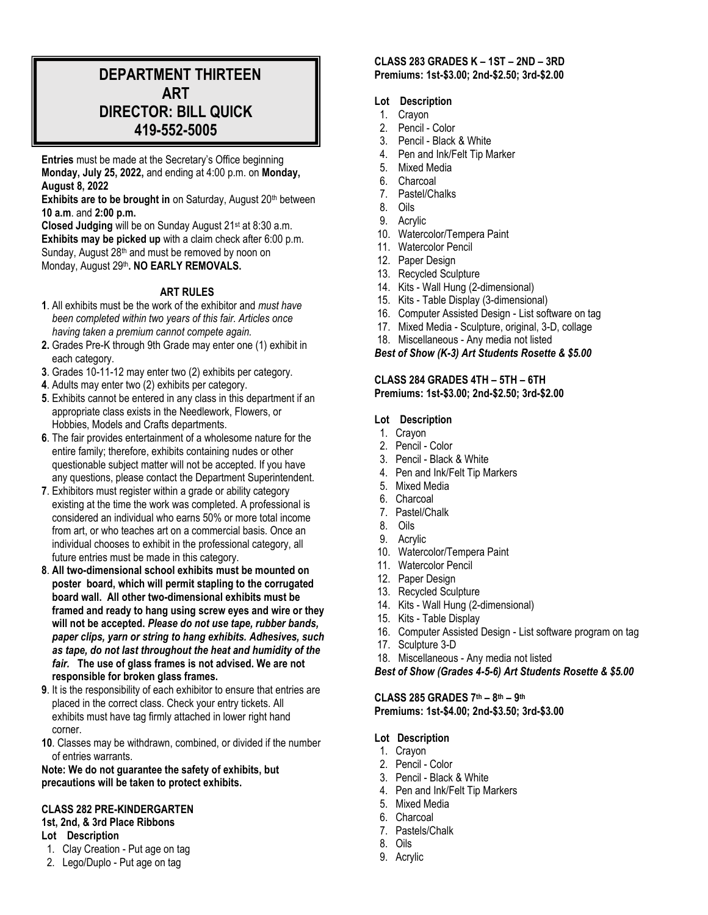# **DEPARTMENT THIRTEEN ART DIRECTOR: BILL QUICK 419-552-5005**

**Entries** must be made at the Secretary's Office beginning **Monday, July 25, 2022,** and ending at 4:00 p.m. on **Monday, August 8, 2022**

Exhibits are to be brought in on Saturday, August 20<sup>th</sup> between **10 a.m**. and **2:00 p.m.**

Closed Judging will be on Sunday August 21<sup>st</sup> at 8:30 a.m. **Exhibits may be picked up** with a claim check after 6:00 p.m. Sunday, August 28<sup>th</sup> and must be removed by noon on Monday, August 29<sup>th</sup>. NO EARLY REMOVALS.

#### **ART RULES**

- **1**. All exhibits must be the work of the exhibitor and *must have been completed within two years of this fair. Articles once having taken a premium cannot compete again.*
- **2.** Grades Pre-K through 9th Grade may enter one (1) exhibit in each category.
- **3**. Grades 10-11-12 may enter two (2) exhibits per category.
- **4**. Adults may enter two (2) exhibits per category.
- **5**. Exhibits cannot be entered in any class in this department if an appropriate class exists in the Needlework, Flowers, or Hobbies, Models and Crafts departments.
- **6**. The fair provides entertainment of a wholesome nature for the entire family; therefore, exhibits containing nudes or other questionable subject matter will not be accepted. If you have any questions, please contact the Department Superintendent.
- **7**. Exhibitors must register within a grade or ability category existing at the time the work was completed. A professional is considered an individual who earns 50% or more total income from art, or who teaches art on a commercial basis. Once an individual chooses to exhibit in the professional category, all future entries must be made in this category.
- **8**. **All two-dimensional school exhibits must be mounted on poster board, which will permit stapling to the corrugated board wall. All other two-dimensional exhibits must be framed and ready to hang using screw eyes and wire or they will not be accepted.** *Please do not use tape, rubber bands, paper clips, yarn or string to hang exhibits. Adhesives, such as tape, do not last throughout the heat and humidity of the fair.* **The use of glass frames is not advised. We are not responsible for broken glass frames.**
- **9**. It is the responsibility of each exhibitor to ensure that entries are placed in the correct class. Check your entry tickets. All exhibits must have tag firmly attached in lower right hand corner.
- **10**. Classes may be withdrawn, combined, or divided if the number of entries warrants.

**Note: We do not guarantee the safety of exhibits, but precautions will be taken to protect exhibits.**

#### **CLASS 282 PRE-KINDERGARTEN**

- **1st, 2nd, & 3rd Place Ribbons**
- **Lot Description**
- 1. Clay Creation Put age on tag
- 2. Lego/Duplo Put age on tag

#### **CLASS 283 GRADES K – 1ST – 2ND – 3RD Premiums: 1st-\$3.00; 2nd-\$2.50; 3rd-\$2.00**

#### **Lot Description**

- 1. Crayon
- 2. Pencil Color
- 3. Pencil Black & White
- 4. Pen and Ink/Felt Tip Marker
- 5. Mixed Media
- 6. Charcoal
- 7. Pastel/Chalks
- 8. Oils
- 9. Acrylic
- 10. Watercolor/Tempera Paint
- 11. Watercolor Pencil
- 12. Paper Design
- 13. Recycled Sculpture
- 14. Kits Wall Hung (2-dimensional)
- 15. Kits Table Display (3-dimensional)
- 16. Computer Assisted Design List software on tag
- 17. Mixed Media Sculpture, original, 3-D, collage
- 18. Miscellaneous Any media not listed

*Best of Show (K-3) Art Students Rosette & \$5.00*

#### **CLASS 284 GRADES 4TH – 5TH – 6TH Premiums: 1st-\$3.00; 2nd-\$2.50; 3rd-\$2.00**

#### **Lot Description**

- 1. Crayon
- 2. Pencil Color
- 3. Pencil Black & White
- 4. Pen and Ink/Felt Tip Markers
- 5. Mixed Media
- 6. Charcoal
- 7. Pastel/Chalk
- 8. Oils
- 9. Acrylic
- 10. Watercolor/Tempera Paint
- 11. Watercolor Pencil
- 12. Paper Design
- 13. Recycled Sculpture
- 14. Kits Wall Hung (2-dimensional)
- 15. Kits Table Display
- 16. Computer Assisted Design List software program on tag
- 17. Sculpture 3-D
- 18. Miscellaneous Any media not listed

*Best of Show (Grades 4-5-6) Art Students Rosette & \$5.00*

**CLASS 285 GRADES 7th – 8 th – 9 th Premiums: 1st-\$4.00; 2nd-\$3.50; 3rd-\$3.00**

- **Lot Description**
- 1. Crayon
- 2. Pencil Color
- 3. Pencil Black & White
- 4. Pen and Ink/Felt Tip Markers
- 5. Mixed Media
- 6. Charcoal
- 7. Pastels/Chalk
- 8. Oils
- 9. Acrylic